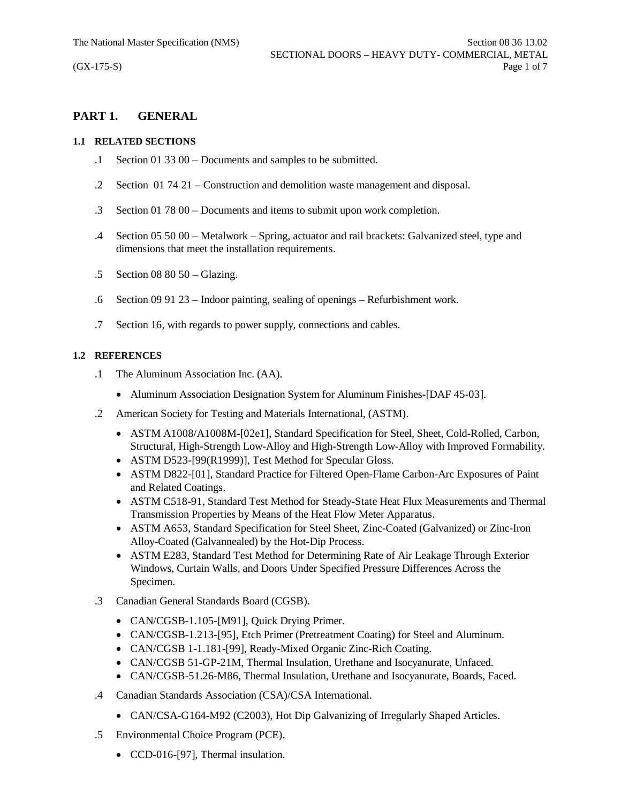# **PART 1. GENERAL**

## **1.1 RELATED SECTIONS**

- .1 Section 01 33 00 Documents and samples to be submitted.
- .2 Section 01 74 21 Construction and demolition waste management and disposal.
- .3 Section 01 78 00 Documents and items to submit upon work completion.
- .4 Section 05 50 00 Metalwork Spring, actuator and rail brackets: Galvanized steel, type and dimensions that meet the installation requirements.
- .5 Section 08 80 50 Glazing.
- .6 Section 09 91 23 Indoor painting, sealing of openings Refurbishment work.
- .7 Section 16, with regards to power supply, connections and cables.

# **1.2 REFERENCES**

- .1 The Aluminum Association Inc. (AA).
	- Aluminum Association Designation System for Aluminum Finishes-[DAF 45-03].
- .2 American Society for Testing and Materials International, (ASTM).
	- · ASTM A1008/A1008M-[02e1], Standard Specification for Steel, Sheet, Cold-Rolled, Carbon, Structural, High-Strength Low-Alloy and High-Strength Low-Alloy with Improved Formability.
	- ASTM D523-[99(R1999)], Test Method for Specular Gloss.
	- · ASTM D822-[01], Standard Practice for Filtered Open-Flame Carbon-Arc Exposures of Paint and Related Coatings.
	- · ASTM C518-91, Standard Test Method for Steady-State Heat Flux Measurements and Thermal Transmission Properties by Means of the Heat Flow Meter Apparatus.
	- · ASTM A653, Standard Specification for Steel Sheet, Zinc-Coated (Galvanized) or Zinc-Iron Alloy-Coated (Galvannealed) by the Hot-Dip Process.
	- · ASTM E283, Standard Test Method for Determining Rate of Air Leakage Through Exterior Windows, Curtain Walls, and Doors Under Specified Pressure Differences Across the Specimen.
- .3 Canadian General Standards Board (CGSB).
	- CAN/CGSB-1.105-[M91], Quick Drying Primer.
	- · CAN/CGSB-1.213-[95], Etch Primer (Pretreatment Coating) for Steel and Aluminum.
	- · CAN/CGSB 1-1.181-[99], Ready-Mixed Organic Zinc-Rich Coating.
	- · CAN/CGSB 51-GP-21M, Thermal Insulation, Urethane and Isocyanurate, Unfaced.
	- · CAN/CGSB-51.26-M86, Thermal Insulation, Urethane and Isocyanurate, Boards, Faced.
- .4 Canadian Standards Association (CSA)/CSA International.
	- CAN/CSA-G164-M92 (C2003), Hot Dip Galvanizing of Irregularly Shaped Articles.
- .5 Environmental Choice Program (PCE).
	- CCD-016-[97], Thermal insulation.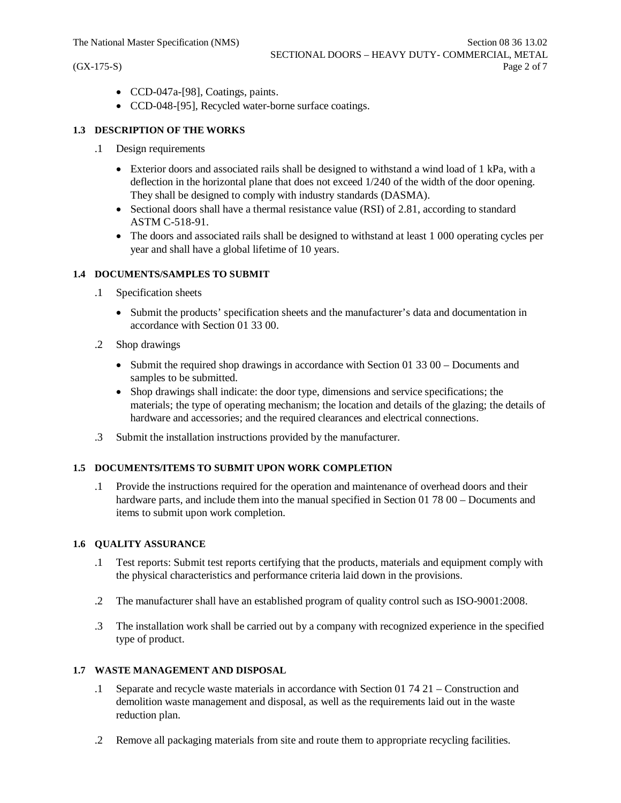- · CCD-047a-[98], Coatings, paints.
- · CCD-048-[95], Recycled water-borne surface coatings.

### **1.3 DESCRIPTION OF THE WORKS**

- .1 Design requirements
	- Exterior doors and associated rails shall be designed to withstand a wind load of 1 kPa, with a deflection in the horizontal plane that does not exceed 1/240 of the width of the door opening. They shall be designed to comply with industry standards (DASMA).
	- Sectional doors shall have a thermal resistance value (RSI) of 2.81, according to standard ASTM C-518-91.
	- · The doors and associated rails shall be designed to withstand at least 1 000 operating cycles per year and shall have a global lifetime of 10 years.

### **1.4 DOCUMENTS/SAMPLES TO SUBMIT**

- .1 Specification sheets
	- · Submit the products' specification sheets and the manufacturer's data and documentation in accordance with Section 01 33 00.
- .2 Shop drawings
	- Submit the required shop drawings in accordance with Section 01 33 00 Documents and samples to be submitted.
	- · Shop drawings shall indicate: the door type, dimensions and service specifications; the materials; the type of operating mechanism; the location and details of the glazing; the details of hardware and accessories; and the required clearances and electrical connections.
- .3 Submit the installation instructions provided by the manufacturer.

## **1.5 DOCUMENTS/ITEMS TO SUBMIT UPON WORK COMPLETION**

.1 Provide the instructions required for the operation and maintenance of overhead doors and their hardware parts, and include them into the manual specified in Section 01 78 00 – Documents and items to submit upon work completion.

#### **1.6 QUALITY ASSURANCE**

- .1 Test reports: Submit test reports certifying that the products, materials and equipment comply with the physical characteristics and performance criteria laid down in the provisions.
- .2 The manufacturer shall have an established program of quality control such as ISO-9001:2008.
- .3 The installation work shall be carried out by a company with recognized experience in the specified type of product.

### **1.7 WASTE MANAGEMENT AND DISPOSAL**

- .1 Separate and recycle waste materials in accordance with Section 01 74 21 Construction and demolition waste management and disposal, as well as the requirements laid out in the waste reduction plan.
- .2 Remove all packaging materials from site and route them to appropriate recycling facilities.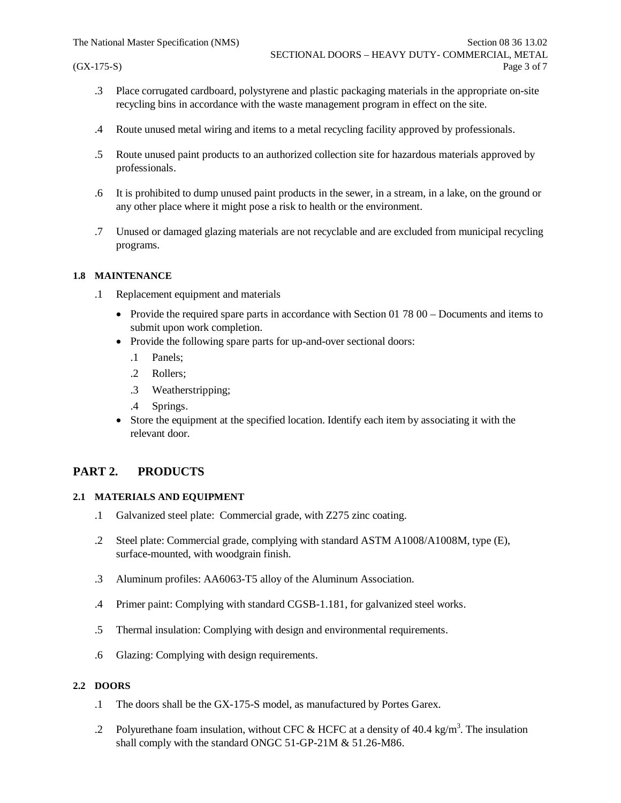- .3 Place corrugated cardboard, polystyrene and plastic packaging materials in the appropriate on-site recycling bins in accordance with the waste management program in effect on the site.
- .4 Route unused metal wiring and items to a metal recycling facility approved by professionals.
- .5 Route unused paint products to an authorized collection site for hazardous materials approved by professionals.
- .6 It is prohibited to dump unused paint products in the sewer, in a stream, in a lake, on the ground or any other place where it might pose a risk to health or the environment.
- .7 Unused or damaged glazing materials are not recyclable and are excluded from municipal recycling programs.

### **1.8 MAINTENANCE**

- .1 Replacement equipment and materials
	- Provide the required spare parts in accordance with Section 01 78 00 Documents and items to submit upon work completion.
	- Provide the following spare parts for up-and-over sectional doors:
		- .1 Panels;
		- .2 Rollers;
		- .3 Weatherstripping;
		- .4 Springs.
	- · Store the equipment at the specified location. Identify each item by associating it with the relevant door.

# **PART 2. PRODUCTS**

# **2.1 MATERIALS AND EQUIPMENT**

- .1 Galvanized steel plate: Commercial grade, with Z275 zinc coating.
- .2 Steel plate: Commercial grade, complying with standard ASTM A1008/A1008M, type (E), surface-mounted, with woodgrain finish.
- .3 Aluminum profiles: AA6063-T5 alloy of the Aluminum Association.
- .4 Primer paint: Complying with standard CGSB-1.181, for galvanized steel works.
- .5 Thermal insulation: Complying with design and environmental requirements.
- .6 Glazing: Complying with design requirements.

# **2.2 DOORS**

- .1 The doors shall be the GX-175-S model, as manufactured by Portes Garex.
- .2 Polyurethane foam insulation, without CFC & HCFC at a density of 40.4 kg/m<sup>3</sup>. The insulation shall comply with the standard ONGC 51-GP-21M & 51.26-M86.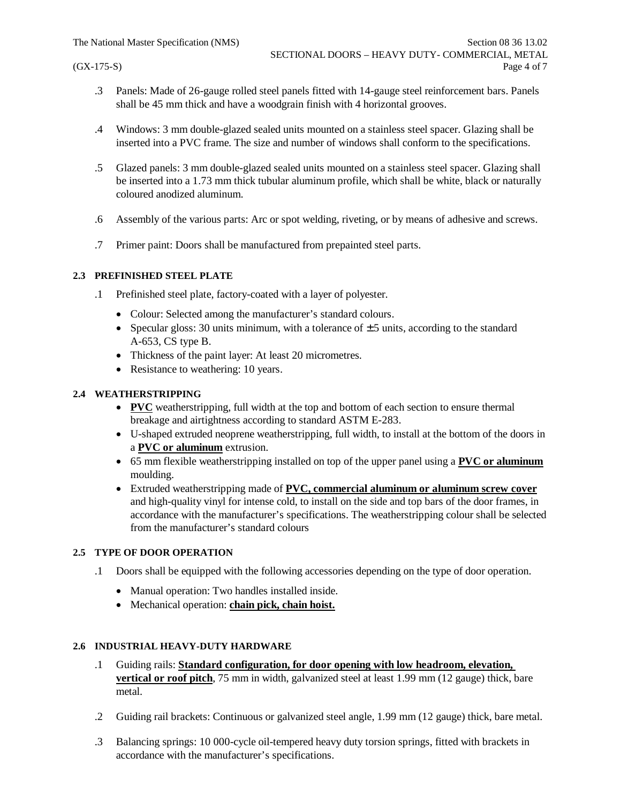- .3 Panels: Made of 26-gauge rolled steel panels fitted with 14-gauge steel reinforcement bars. Panels shall be 45 mm thick and have a woodgrain finish with 4 horizontal grooves.
- .4 Windows: 3 mm double-glazed sealed units mounted on a stainless steel spacer. Glazing shall be inserted into a PVC frame. The size and number of windows shall conform to the specifications.
- .5 Glazed panels: 3 mm double-glazed sealed units mounted on a stainless steel spacer. Glazing shall be inserted into a 1.73 mm thick tubular aluminum profile, which shall be white, black or naturally coloured anodized aluminum.
- .6 Assembly of the various parts: Arc or spot welding, riveting, or by means of adhesive and screws.
- .7 Primer paint: Doors shall be manufactured from prepainted steel parts.

# **2.3 PREFINISHED STEEL PLATE**

- .1 Prefinished steel plate, factory-coated with a layer of polyester.
	- Colour: Selected among the manufacturer's standard colours.
	- Specular gloss: 30 units minimum, with a tolerance of  $\pm$  5 units, according to the standard A-653, CS type B.
	- Thickness of the paint layer: At least 20 micrometres.
	- Resistance to weathering: 10 years.

## **2.4 WEATHERSTRIPPING**

- · **PVC** weatherstripping, full width at the top and bottom of each section to ensure thermal breakage and airtightness according to standard ASTM E-283.
- · U-shaped extruded neoprene weatherstripping, full width, to install at the bottom of the doors in a **PVC or aluminum** extrusion.
- · 65 mm flexible weatherstripping installed on top of the upper panel using a **PVC or aluminum** moulding.
- · Extruded weatherstripping made of **PVC, commercial aluminum or aluminum screw cover** and high-quality vinyl for intense cold, to install on the side and top bars of the door frames, in accordance with the manufacturer's specifications. The weatherstripping colour shall be selected from the manufacturer's standard colours

## **2.5 TYPE OF DOOR OPERATION**

- .1 Doors shall be equipped with the following accessories depending on the type of door operation.
	- · Manual operation: Two handles installed inside.
	- · Mechanical operation: **chain pick, chain hoist.**

## **2.6 INDUSTRIAL HEAVY-DUTY HARDWARE**

- .1 Guiding rails: **Standard configuration, for door opening with low headroom, elevation, vertical or roof pitch**, 75 mm in width, galvanized steel at least 1.99 mm (12 gauge) thick, bare metal.
- .2 Guiding rail brackets: Continuous or galvanized steel angle, 1.99 mm (12 gauge) thick, bare metal.
- .3 Balancing springs: 10 000-cycle oil-tempered heavy duty torsion springs, fitted with brackets in accordance with the manufacturer's specifications.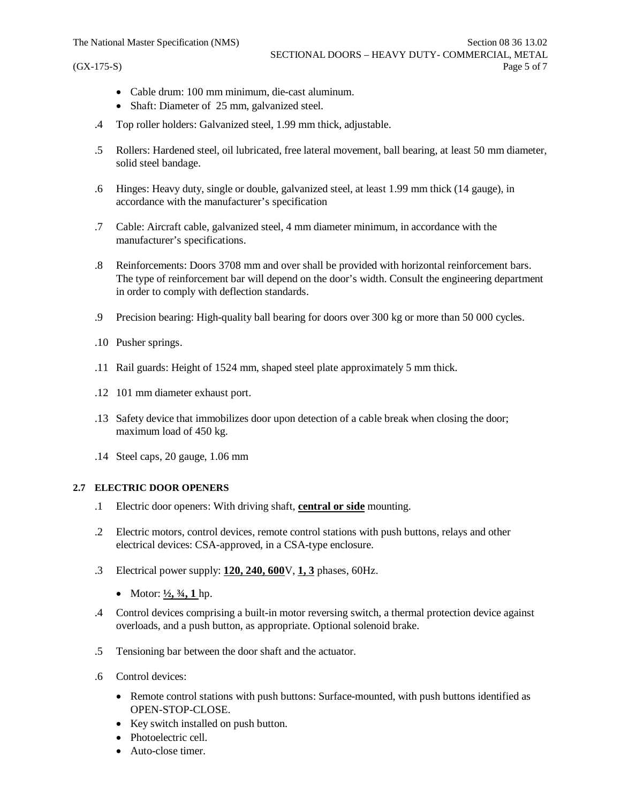- · Cable drum: 100 mm minimum, die-cast aluminum.
- Shaft: Diameter of 25 mm, galvanized steel.
- .4 Top roller holders: Galvanized steel, 1.99 mm thick, adjustable.
- .5 Rollers: Hardened steel, oil lubricated, free lateral movement, ball bearing, at least 50 mm diameter, solid steel bandage.
- .6 Hinges: Heavy duty, single or double, galvanized steel, at least 1.99 mm thick (14 gauge), in accordance with the manufacturer's specification
- .7 Cable: Aircraft cable, galvanized steel, 4 mm diameter minimum, in accordance with the manufacturer's specifications.
- .8 Reinforcements: Doors 3708 mm and over shall be provided with horizontal reinforcement bars. The type of reinforcement bar will depend on the door's width. Consult the engineering department in order to comply with deflection standards.
- .9 Precision bearing: High-quality ball bearing for doors over 300 kg or more than 50 000 cycles.
- .10 Pusher springs.
- .11 Rail guards: Height of 1524 mm, shaped steel plate approximately 5 mm thick.
- .12 101 mm diameter exhaust port.
- .13 Safety device that immobilizes door upon detection of a cable break when closing the door; maximum load of 450 kg.
- .14 Steel caps, 20 gauge, 1.06 mm

#### **2.7 ELECTRIC DOOR OPENERS**

- .1 Electric door openers: With driving shaft, **central or side** mounting.
- .2 Electric motors, control devices, remote control stations with push buttons, relays and other electrical devices: CSA-approved, in a CSA-type enclosure.
- .3 Electrical power supply: **120, 240, 600**V, **1, 3** phases, 60Hz.
	- Motor:  $\frac{1}{2}$ ,  $\frac{3}{4}$ , 1 hp.
- .4 Control devices comprising a built-in motor reversing switch, a thermal protection device against overloads, and a push button, as appropriate. Optional solenoid brake.
- .5 Tensioning bar between the door shaft and the actuator.
- .6 Control devices:
	- · Remote control stations with push buttons: Surface-mounted, with push buttons identified as OPEN-STOP-CLOSE.
	- · Key switch installed on push button.
	- Photoelectric cell.
	- Auto-close timer.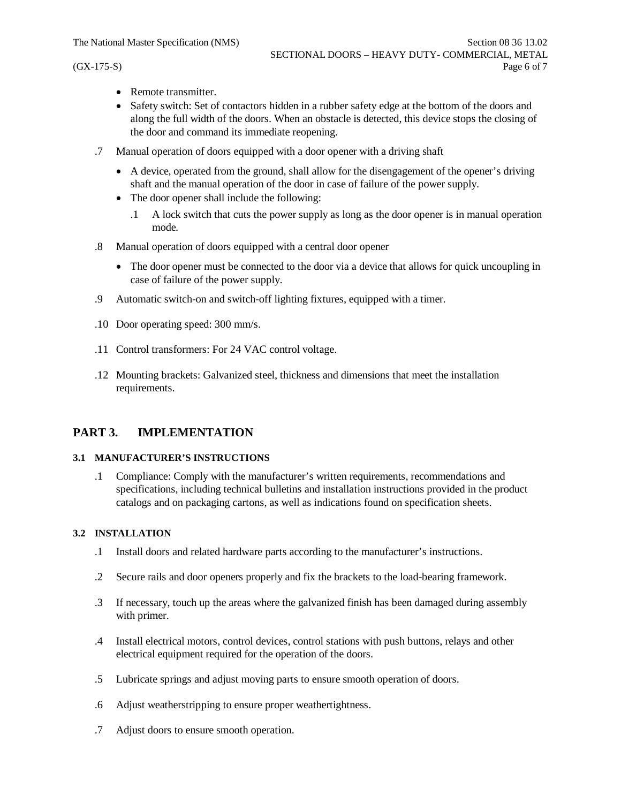- Remote transmitter
- · Safety switch: Set of contactors hidden in a rubber safety edge at the bottom of the doors and along the full width of the doors. When an obstacle is detected, this device stops the closing of the door and command its immediate reopening.
- .7 Manual operation of doors equipped with a door opener with a driving shaft
	- · A device, operated from the ground, shall allow for the disengagement of the opener's driving shaft and the manual operation of the door in case of failure of the power supply.
	- The door opener shall include the following:
		- .1 A lock switch that cuts the power supply as long as the door opener is in manual operation mode.
- .8 Manual operation of doors equipped with a central door opener
	- · The door opener must be connected to the door via a device that allows for quick uncoupling in case of failure of the power supply.
- .9 Automatic switch-on and switch-off lighting fixtures, equipped with a timer.
- .10 Door operating speed: 300 mm/s.
- .11 Control transformers: For 24 VAC control voltage.
- .12 Mounting brackets: Galvanized steel, thickness and dimensions that meet the installation requirements.

# **PART 3. IMPLEMENTATION**

### **3.1 MANUFACTURER'S INSTRUCTIONS**

.1 Compliance: Comply with the manufacturer's written requirements, recommendations and specifications, including technical bulletins and installation instructions provided in the product catalogs and on packaging cartons, as well as indications found on specification sheets.

#### **3.2 INSTALLATION**

- .1 Install doors and related hardware parts according to the manufacturer's instructions.
- .2 Secure rails and door openers properly and fix the brackets to the load-bearing framework.
- .3 If necessary, touch up the areas where the galvanized finish has been damaged during assembly with primer.
- .4 Install electrical motors, control devices, control stations with push buttons, relays and other electrical equipment required for the operation of the doors.
- .5 Lubricate springs and adjust moving parts to ensure smooth operation of doors.
- .6 Adjust weatherstripping to ensure proper weathertightness.
- .7 Adjust doors to ensure smooth operation.